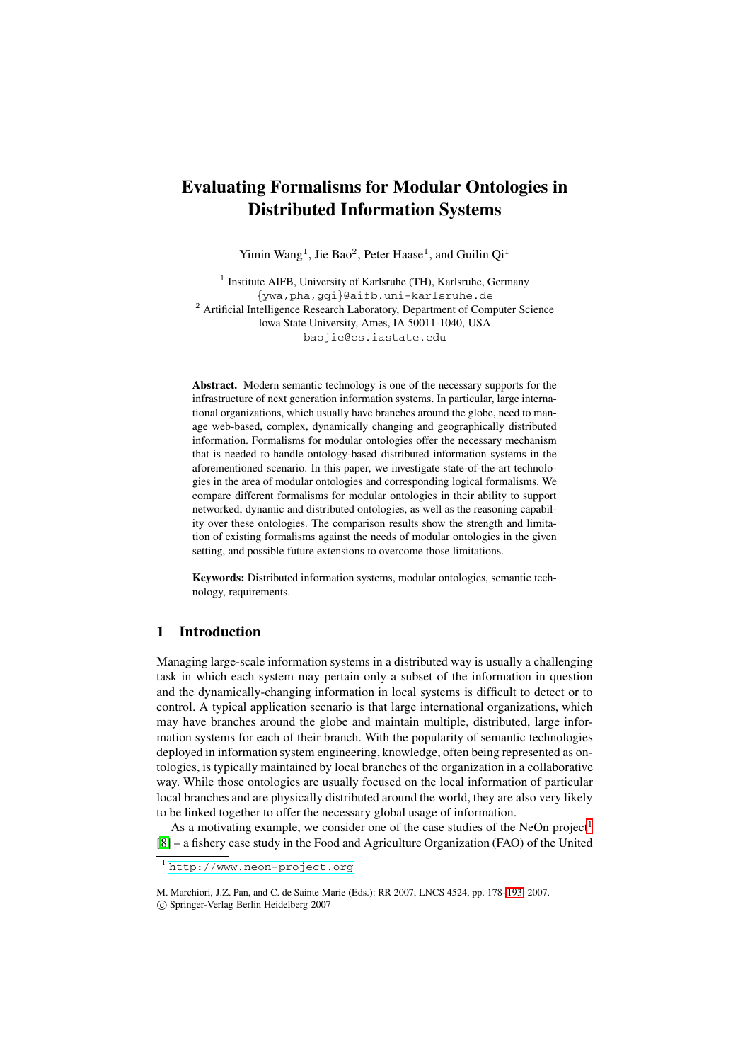# **Evaluating Formalisms for Modular Ontologies in Distributed Information Systems**

Yimin Wang<sup>1</sup>, Jie Bao<sup>2</sup>, Peter Haase<sup>1</sup>, and Guilin Qi<sup>1</sup>

 $<sup>1</sup>$  Institute AIFB, University of Karlsruhe (TH), Karlsruhe, Germany</sup> {ywa,pha,gqi}@aifb.uni-karlsruhe.de <sup>2</sup> Artificial Intelligence Research Laboratory, Department of Computer Science Iowa State University, Ames, IA 50011-1040, USA baojie@cs.iastate.edu

**Abstract.** Modern semantic technology is one of the necessary supports for the infrastructure of next generation information systems. In particular, large international organizations, which usually have branches around the globe, need to manage web-based, complex, dynamically changing and geographically distributed information. Formalisms for modular ontologies offer the necessary mechanism that is needed to handle ontology-based distributed information systems in the aforementioned scenario. In this paper, we investigate state-of-the-art technologies in the area of modular ontologies and corresponding logical formalisms. We compare different formalisms for modular ontologies in their ability to support networked, dynamic and distributed ontologies, as well as the reasoning capability over these ontologies. The comparison results show the strength and limitation of existing formalisms against the needs of modular ontologies in the given setting, and possible future extensions to overcome those limitations.

**Keywords:** Distributed information systems, modular ontologies, semantic technology, requirements.

# **1 Introduction**

<span id="page-0-0"></span>Managing large-scale information systems in a distributed way is usually a challenging task in which each system may pertain only a subset of the information in question and the dynamically-changing information in local systems is difficult to detect or to control. A typical application scenario is that large international organizations, which may have branches around the globe and maintain multiple, distributed, large information systems for each of their branch. With the popularity of semantic technologies deployed in information system engineering, knowledge, often being represented as ontologies, is typically maintained by local branches of the organization in a collaborative way. While those ontologies are usually focused on the local information of particular local branches and are physically distributed around the world, they are also very likely to be linked together to offer the necessary global usage of information.

As a motivating example, we consider one of the case studies of the NeOn project<sup>1</sup> [8] – a fishery case study in the Food and Agriculture Organization (FAO) of the United

 $\frac{1}{1}$ http://www.neon-project.org

M. Marchiori, J.Z. Pan, and C. de Sainte Marie (Eds.): RR 2007, LNCS 4524, pp. 178–193, 2007.

[<sup>-</sup>](#page-14-0)c Springer-Verlag Berlin Heidelberg 2007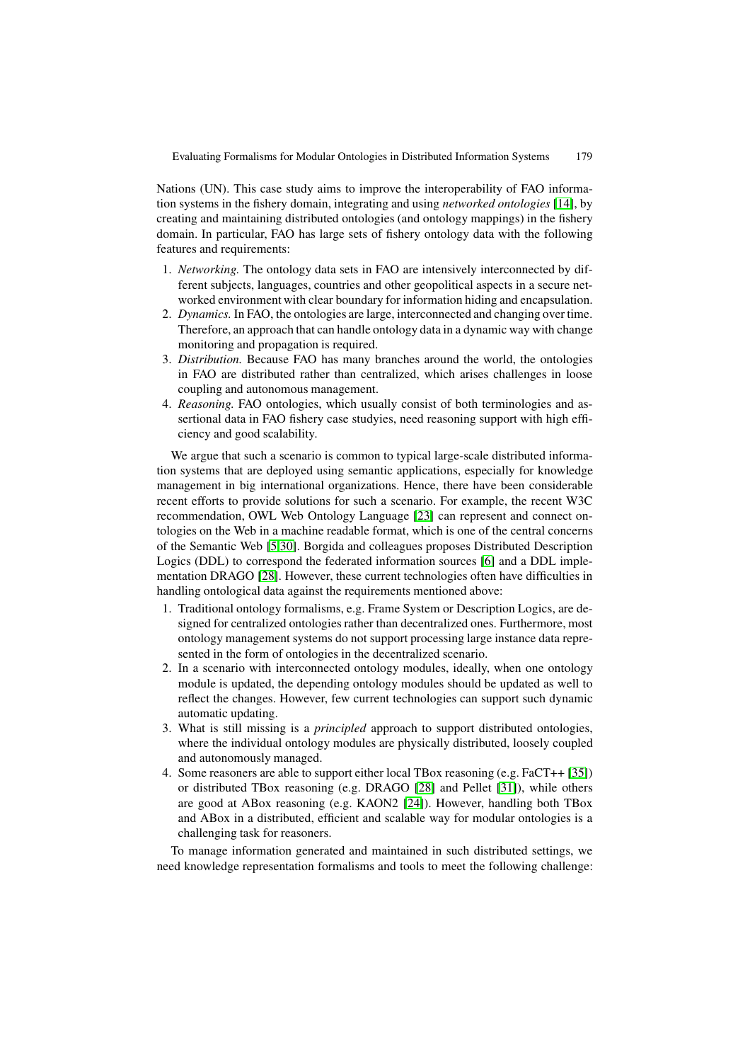Nations (UN). This case study aims to improve the interoperability of FAO information systems in the fishery domain, integrating and using *networked ontologies* [14], by creating and maintaining distributed ontologies (and ontology mappings) in the fishery domain. In particular, FAO has large sets of fishery ontology data with the following features and requirements:

- 1. *Networking.* The ontology data sets in FAO are intensively interconnected [by](#page-14-1) different subjects, languages, countries and other geopolitical aspects in a secure networked environment with clear boundary for information hiding and encapsulation.
- 2. *Dynamics.* In FAO, the ontologies are large, interconnected and changing over time. Therefore, an approach that can handle ontology data in a dynamic way with change monitoring and propagation is required.
- 3. *Distribution.* Because FAO has many branches around the world, the ontologies in FAO are distributed rather than centralized, which arises challenges in loose coupling and autonomous management.
- 4. *Reasoning.* FAO ontologies, which usually consist of both terminologies and assertional data in FAO fishery case studyies, need reasoning support with high efficiency and good scalability.

We argue that such a scenario is common to typical large-scale distributed information systems that are deployed using semantic applications, especially for knowledge management in big international organizations. Hence, there have been considerable recent efforts to provide solutions for such a scenario. For example, the recent W3C recommendation, OWL Web Ontology Language [23] can represent and connect ontologies on the Web in a machine readable format, which is one of the central concerns of the Semantic Web [5,30]. Borgida and colleagues proposes Distributed Description Logics (DDL) to correspond the federated information sources [6] and a DDL implementation DRAGO [28]. However, these current te[chno](#page-14-2)logies often have difficulties in handling ontological data against the requirements mentioned above:

- 1. Traditional ontolo[gy](#page-13-0) [fo](#page-15-0)rmalisms, e.g. Frame System or Description Logics, are designed for centralized ontologies rather than decentralized o[nes](#page-14-3). Furthermore, most ontology manag[eme](#page-15-1)nt systems do not support processing large instance data represented in the form of ontologies in the decentralized scenario.
- 2. In a scenario with interconnected ontology modules, ideally, when one ontology module is updated, the depending ontology modules should be updated as well to reflect the changes. However, few current technologies can support such dynamic automatic updating.
- 3. What is still missing is a *principled* approach to support distributed ontologies, where the individual ontology modules are physically distributed, loosely coupled and autonomously managed.
- 4. Some reasoners are able to support either local TBox reasoning (e.g. FaCT++ [35]) or distributed TBox reasoning (e.g. DRAGO [28] and Pellet [31]), while others are good at ABox reasoning (e.g. KAON2 [24]). However, handling both TBox and ABox in a distributed, efficient and scalable way for modular ontologies is a challenging task for reasoners.

To manage information generated and maintain[ed i](#page-15-1)n such distr[ibut](#page-15-2)ed settings, we need knowledge representation formalisms and t[ools](#page-14-4) to meet the following challenge: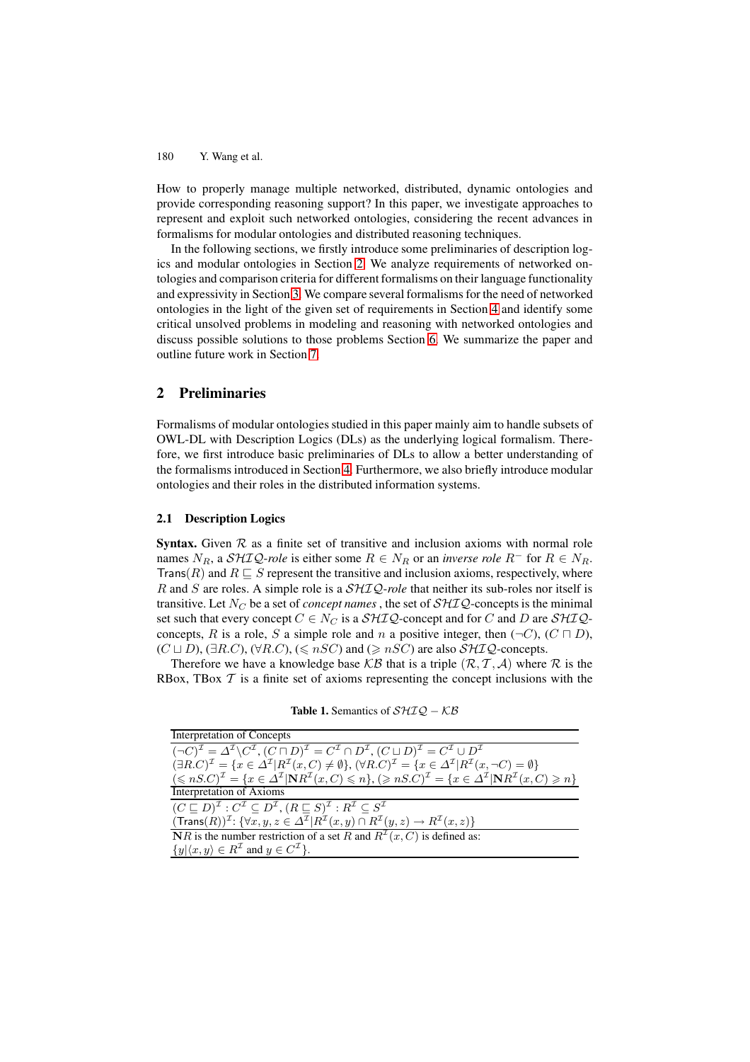How to properly manage multiple networked, distributed, dynamic ontologies and provide corresponding reasoning support? In this paper, we investigate approaches to represent and exploit such networked ontologies, considering the recent advances in formalisms for modular ontologies and distributed reasoning techniques.

In the following sections, we firstly introduce some preliminaries of description logics and modular ontologies in Section 2. We analyze requirements of networked ontologies and comparison criteria for different formalisms on their language functionality and expressivity in Section 3. We compare several formalisms for the need of networked ontologies in the light of the given set of requirements in Section 4 and identify some critical unsolved problems in modelin[g a](#page-2-0)nd reasoning with networked ontologies and discuss possible solutions to those problems Section 6. We summarize the paper and outline future work in Sec[tio](#page-3-0)n 7.

# **2 Preliminaries**

<span id="page-2-0"></span>Formalisms of modular ontolo[gi](#page-13-1)es studied in this paper mainly aim to handle subsets of OWL-DL with Description Logics (DLs) as the underlying logical formalism. Therefore, we first introduce basic preliminaries of DLs to allow a better understanding of the formalisms introduced in Section 4. Furthermore, we also briefly introduce modular ontologies and their roles in the distributed information systems.

#### **2.1 Description Logics**

**Syntax.** Given  $R$  as a finite set of [tra](#page-6-0)nsitive and inclusion axioms with normal role names  $N_R$ , a  $\mathcal{SHLQ}$ -role is either some  $R \in N_R$  or an *inverse role*  $R^-$  for  $R \in N_R$ . Trans(R) and  $R \sqsubseteq S$  represent the transitive and inclusion axioms, respectively, where R and S are roles. A simple role is a SHIQ-*role* that neither its sub-roles nor itself is transitive. Let  $N_C$  be a set of *concept names*, the set of  $\mathcal{SHIQ}$ -concepts is the minimal set such that every concept  $C \in N_C$  is a  $\mathcal{SHIQ}$ -concept and for C and D are  $\mathcal{SHIQ}$ concepts, R is a role, S a simple role and n a positive integer, then  $(\neg C)$ ,  $(C \sqcap D)$ ,  $(C \sqcup D)$ ,  $(\exists R.C)$ ,  $(\forall R.C)$ ,  $(\leq nSC)$  and  $(\geq nSC)$  are also  $\mathcal{SHIQ}$ -concepts.

Therefore we have a knowledge base  $KB$  that is a triple  $(R, T, A)$  where R is the RBox, TBox  $T$  is a finite set of axioms representing the concept inclusions with the

**Table 1.** Semantics of  $\mathcal{SHIQ} - \mathcal{KB}$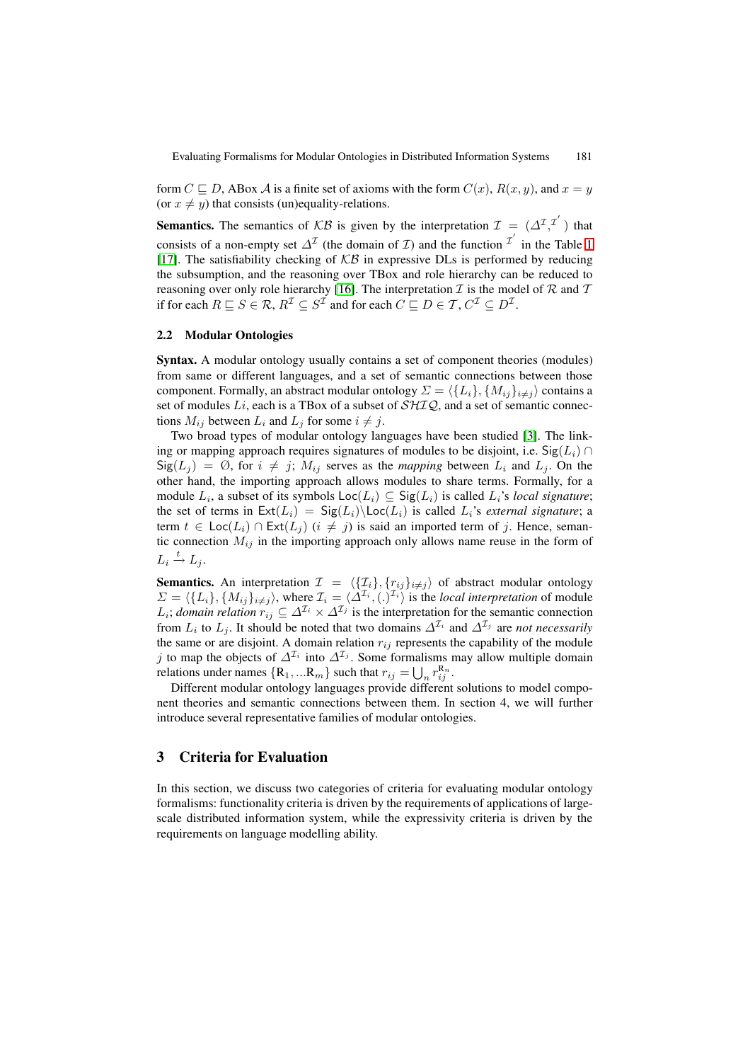form  $C \sqsubseteq D$ , ABox A is a finite set of axioms with the form  $C(x)$ ,  $R(x, y)$ , and  $x = y$ (or  $x \neq y$ ) that consists (un)equality-relations.

**Semantics.** The semantics of  $KB$  is given by the interpretation  $\mathcal{I} = (\Delta^{\mathcal{I}}, \mathcal{I}')$  that consists of a non-empty set  $\Delta^{\mathcal{I}}$  (the domain of  $\mathcal{I}$ ) and the function  $^{\mathcal{I}'}$  in the Table 1 [17]. The satisfiability checking of  $KB$  in expressive DLs is performed by reducing the subsumption, and the reasoning over TBox and role hierarchy can be reduced to reasoning over only role hierarchy [16]. The interpretation  $\mathcal I$  is the model of  $\mathcal R$  and  $\mathcal T$ if for each  $R \sqsubseteq S \in \mathcal{R}$ ,  $R^{\mathcal{I}} \subseteq S^{\mathcal{I}}$  and for each  $C \sqsubseteq D \in \mathcal{T}$ ,  $C^{\mathcal{I}} \subseteq D^{\mathcal{I}}$ .

#### **2.2 Modular Ontologies**

**Syntax.** A modular ontology usual[ly](#page-14-5) [c](#page-14-5)ontains a set of component theories (modules) from same or different languages, and a set of semantic connections between those component. Formally, an abstract modular ontology  $\mathcal{Z} = \langle \{L_i\}, \{M_{ij}\}_{i\neq j} \rangle$  contains a set of modules  $Li$ , each is a TBox of a subset of  $\mathcal{SHIQ}$ , and a set of semantic connections  $M_{ij}$  between  $L_i$  and  $L_j$  for some  $i \neq j$ .

Two broad types of modular ontology languages have been studied [3]. The linking or mapping approach requires signatures of modules to be disjoint, i.e. Sig $(L_i) \cap$  $Sig(L_j) = \emptyset$ , for  $i \neq j$ ;  $M_{ij}$  serves as the *mapping* between  $L_i$  and  $L_j$ . On the other hand, the importing approach allows modules to share terms. Formally, for a module  $L_i$ , a subset of its symbols  $\text{Loc}(L_i) \subseteq \text{Sig}(L_i)$  is [ca](#page-13-2)lled  $L_i$ 's *local signature*; the set of terms in  $\text{Ext}(L_i) = \text{Sig}(L_i) \setminus \text{Loc}(L_i)$  is called  $L_i$ 's *external signature*; a term  $t \in \text{Loc}(L_i) \cap \text{Ext}(L_j)$   $(i \neq j)$  is said an imported term of j. Hence, semantic connection  $M_{ij}$  in the importing approach only allows name reuse in the form of  $L_i \stackrel{t}{\rightarrow} L_j.$ 

**Semantics.** An interpretation  $\mathcal{I} = \langle \{\mathcal{I}_i\}, \{r_{ij}\}_{i \neq j} \rangle$  of abstract modular ontology  $\Sigma = \langle \{L_i\}, \{M_{ij}\}_{i \neq j} \rangle$ , where  $\mathcal{I}_i = \langle \Delta^{\mathcal{I}_i}, (\cdot)^{\mathcal{I}_i} \rangle$  is the *local interpretation* of module  $L_i$ ; *domain relation*  $r_{ij} \subseteq \Delta^{\mathcal{I}_i} \times \Delta^{\mathcal{I}_j}$  is the interpretation for the semantic connection from  $L_i$  to  $L_j$ . It should be noted that two domains  $\Delta^{\mathcal{I}_i}$  and  $\Delta^{\mathcal{I}_j}$  are *not necessarily* the same or are disjoint. A domain relation  $r_{ij}$  represents the capability of the module j to map the objects of  $\Delta^{\mathcal{I}_i}$  into  $\Delta^{\mathcal{I}_j}$ . Some formalisms may allow multiple domain relations under names  $\{R_1,...R_m\}$  such that  $r_{ij} = \bigcup_n r_{ij}^{R_n}$ .

Different modular ontology languages provide different solutions to model component theories and semantic connections between them. In section 4, we will further introduce several representative families of modular ontologies.

# **3 Criteria for Evaluation**

<span id="page-3-0"></span>In this section, we discuss two categories of criteria for evaluating modular ontology formalisms: functionality criteria is driven by the requirements of applications of largescale distributed information system, while the expressivity criteria is driven by the requirements on language modelling ability.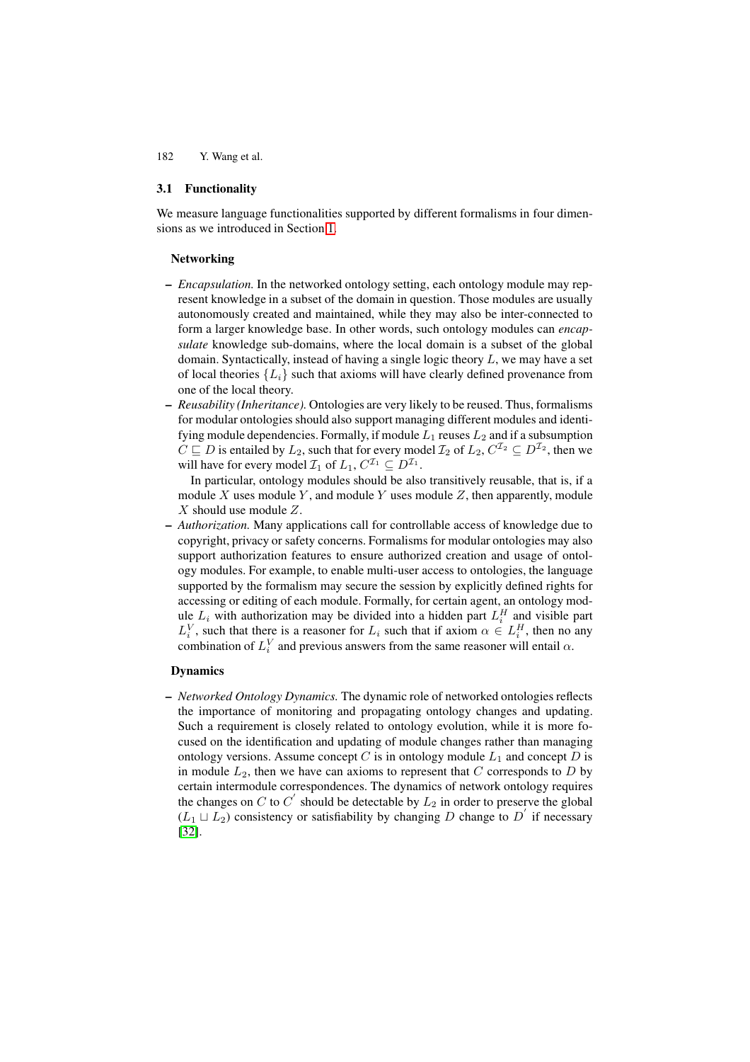#### **3.1 Functionality**

We measure language functionalities supported by different formalisms in four dimensions as we introduced in Section 1.

### **Networking**

- **–** *Encapsulation.* In the networ[ke](#page-0-0)d ontology setting, each ontology module may represent knowledge in a subset of the domain in question. Those modules are usually autonomously created and maintained, while they may also be inter-connected to form a larger knowledge base. In other words, such ontology modules can *encapsulate* knowledge sub-domains, where the local domain is a subset of the global domain. Syntactically, instead of having a single logic theory  $L$ , we may have a set of local theories  $\{L_i\}$  such that axioms will have clearly defined provenance from one of the local theory.
- **–** *Reusability (Inheritance).* Ontologies are very likely to be reused. Thus, formalisms for modular ontologies should also support managing different modules and identifying module dependencies. Formally, if module  $L_1$  reuses  $L_2$  and if a subsumption  $C \sqsubseteq D$  is entailed by  $L_2$ , such that for every model  $\mathcal{I}_2$  of  $L_2$ ,  $C^{\mathcal{I}_2} \subseteq D^{\mathcal{I}_2}$ , then we will have for every model  $\mathcal{I}_1$  of  $L_1$ ,  $C^{\mathcal{I}_1} \subseteq D^{\mathcal{I}_1}$ .

In particular, ontology modules should be also transitively reusable, that is, if a module X uses module Y, and module Y uses module  $Z$ , then apparently, module X should use module Z.

**–** *Authorization.* Many applications call for controllable access of knowledge due to copyright, privacy or safety concerns. Formalisms for modular ontologies may also support authorization features to ensure authorized creation and usage of ontology modules. For example, to enable multi-user access to ontologies, the language supported by the formalism may secure the session by explicitly defined rights for accessing or editing of each module. Formally, for certain agent, an ontology module  $L_i$  with authorization may be divided into a hidden part  $L_i^H$  and visible part  $L_i^V$ , such that there is a reasoner for  $L_i$  such that if axiom  $\alpha \in L_i^H$ , then no any combination of  $L_i^V$  and previous answers from the same reasoner will entail  $\alpha$ .

#### **Dynamics**

**–** *Networked Ontology Dynamics.* The dynamic role of networked ontologies reflects the importance of monitoring and propagating ontology changes and updating. Such a requirement is closely related to ontology evolution, while it is more focused on the identification and updating of module changes rather than managing ontology versions. Assume concept  $C$  is in ontology module  $L_1$  and concept  $D$  is in module  $L_2$ , then we have can axioms to represent that C corresponds to D by certain intermodule correspondences. The dynamics of network ontology requires the changes on C to C' should be detectable by  $L_2$  in order to preserve the global  $(L_1 \sqcup L_2)$  consistency or satisfiability by changing D change to D<sup>'</sup> if necessary [32].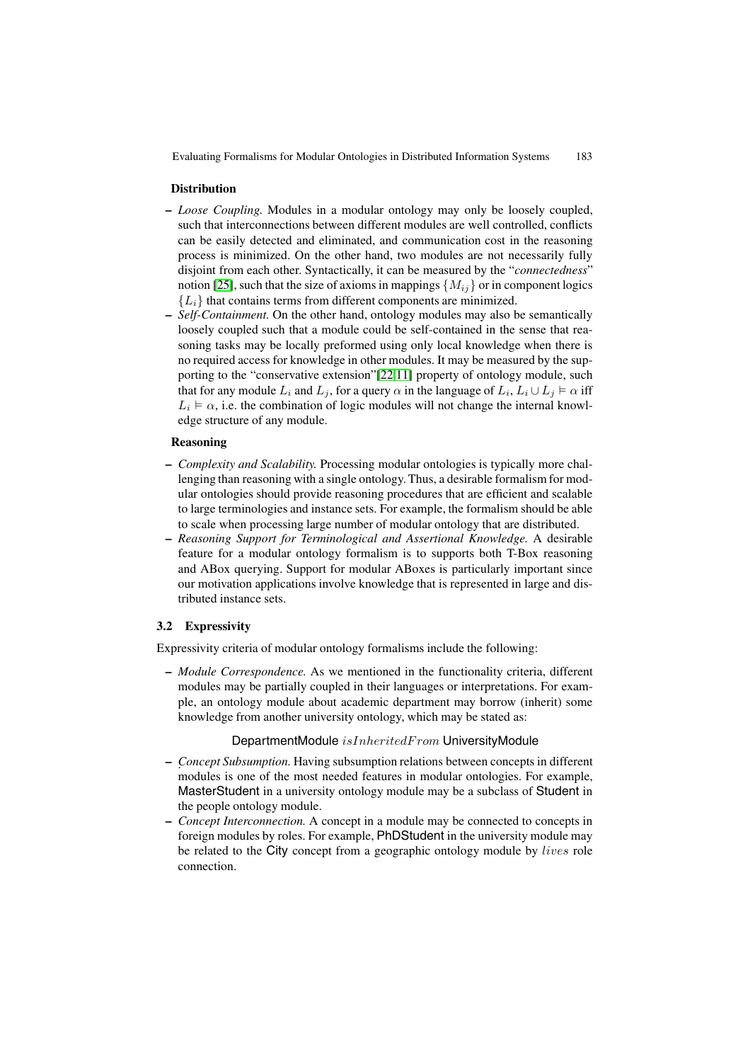#### **Distribution**

- **–** *Loose Coupling.* Modules in a modular ontology may only be loosely coupled, such that interconnections between different modules are well controlled, conflicts can be easily detected and eliminated, and communication cost in the reasoning process is minimized. On the other hand, two modules are not necessarily fully disjoint from each other. Syntactically, it can be measured by the "*connectedness*" notion [25], such that the size of axioms in mappings  $\{M_{ij}\}\$  or in component logics  ${L<sub>i</sub>}$  that contains terms from different components are minimized.
- **–** *Self-Containment.* On the other hand, ontology modules may also be semantically loosely coupled such that a module could be self-contained in the sense that reasoning [task](#page-15-3)s may be locally preformed using only local knowledge when there is no required access for knowledge in other modules. It may be measured by the supporting to the "conservative extension"[22,11] property of ontology module, such that for any module  $L_i$  and  $L_j$ , for a query  $\alpha$  in the language of  $L_i$ ,  $L_i \cup L_j \models \alpha$  iff  $L_i \models \alpha$ , i.e. the combination of logic modules will not change the internal knowledge structure of any module.

#### **Reasoning**

- **–** *Complexity and Scalability.* Processing modular ontologies is typically more challenging than reasoning with a single ontology. Thus, a desirable formalism for modular ontologies should provide reasoning procedures that are efficient and scalable to large terminologies and instance sets. For example, the formalism should be able to scale when processing large number of modular ontology that are distributed.
- **–** *Reasoning Support for Terminological and Assertional Knowledge.* A desirable feature for a modular ontology formalism is to supports both T-Box reasoning and ABox querying. Support for modular ABoxes is particularly important since our motivation applications involve knowledge that is represented in large and distributed instance sets.

#### **3.2 Expressivity**

Expressivity criteria of modular ontology formalisms include the following:

**–** *Module Correspondence.* As we mentioned in the functionality criteria, different modules may be partially coupled in their languages or interpretations. For example, an ontology module about academic department may borrow (inherit) some knowledge from another university ontology, which may be stated as:

#### DepartmentModule isInheritedFrom UniversityModule

- . **–** *Concept Subsumption.* Having subsumption relations between concepts in different modules is one of the most needed features in modular ontologies. For example, MasterStudent in a university ontology module may be a subclass of Student in the people ontology module.
- **–** *Concept Interconnection.* A concept in a module may be connected to concepts in foreign modules by roles. For example, PhDStudent in the university module may be related to the City concept from a geographic ontology module by *lives* role connection.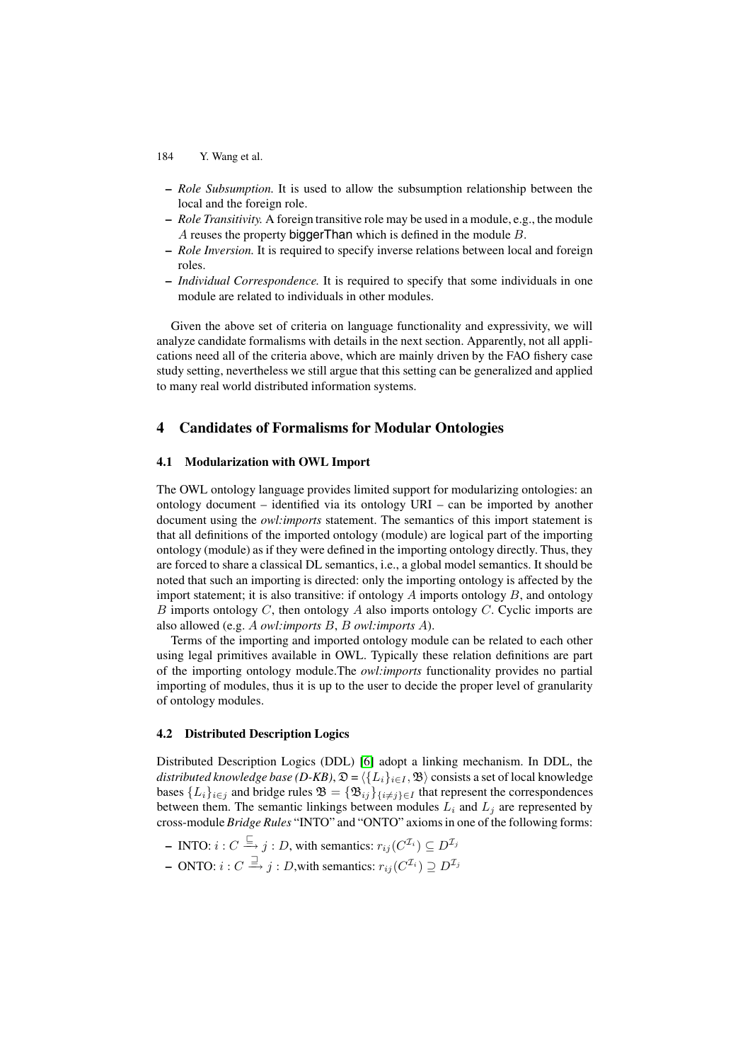- **–** *Role Subsumption.* It is used to allow the subsumption relationship between the local and the foreign role.
- **–** *Role Transitivity.* A foreign transitive role may be used in a module, e.g., the module A reuses the property biggerThan which is defined in the module B.
- **–** *Role Inversion.* It is required to specify inverse relations between local and foreign roles.
- **–** *Individual Correspondence.* It is required to specify that some individuals in one module are related to individuals in other modules.

Given the above set of criteria on language functionality and expressivity, we will analyze candidate formalisms with details in the next section. Apparently, not all applications need all of the criteria above, which are mainly driven by the FAO fishery case study setting, nevertheless we still argue that this setting can be generalized and applied to many real world distributed information systems.

# **4 Candidates of Formalisms for Modular Ontologies**

#### <span id="page-6-0"></span>**4.1 Modularization with OWL Import**

The OWL ontology language provides limited support for modularizing ontologies: an ontology document – identified via its ontology URI – can be imported by another document using the *owl:imports* statement. The semantics of this import statement is that all definitions of the imported ontology (module) are logical part of the importing ontology (module) as if they were defined in the importing ontology directly. Thus, they are forced to share a classical DL semantics, i.e., a global model semantics. It should be noted that such an importing is directed: only the importing ontology is affected by the import statement; it is also transitive: if ontology  $A$  imports ontology  $B$ , and ontology  $B$  imports ontology  $C$ , then ontology  $A$  also imports ontology  $C$ . Cyclic imports are also allowed (e.g. A *owl:imports* B, B *owl:imports* A).

Terms of the importing and imported ontology module can be related to each other using legal primitives available in OWL. Typically these relation definitions are part of the importing ontology module.The *owl:imports* functionality provides no partial importing of modules, thus it is up to the user to decide the proper level of granularity of ontology modules.

#### **4.2 Distributed Description Logics**

<span id="page-6-1"></span>Distributed Description Logics (DDL) [6] adopt a linking mechanism. In DDL, the *distributed knowledge base (D-KB),*  $\frak{D} = \langle\{L_i\}_{i\in I},\frak{B}\rangle$  *consists a set of local knowledge* bases  $\{L_i\}_{i\in j}$  and bridge rules  $\mathfrak{B}=\{\mathfrak{B}_{ij}\}_{\{i\neq j\}\in I}$  that represent the correspondences between them. The semantic linkings between modules  $L_i$  and  $L_j$  are represented by cross-module *Bridge Rules* "INTO" and ["O](#page-14-3)NTO" axioms in one of the following forms:

- **–** INTO:  $i: C \stackrel{\sqsubseteq}{\longrightarrow} j: D$ , with semantics:  $r_{ij}(C^{\mathcal{I}_i}) \subseteq D^{\mathcal{I}_j}$
- $\text{- ONTO: } i: C \stackrel{\supset}{\longrightarrow} j: D, \text{with semantics: } r_{ij}(C^{\mathcal{I}_i}) \supseteq D^{\mathcal{I}_j}$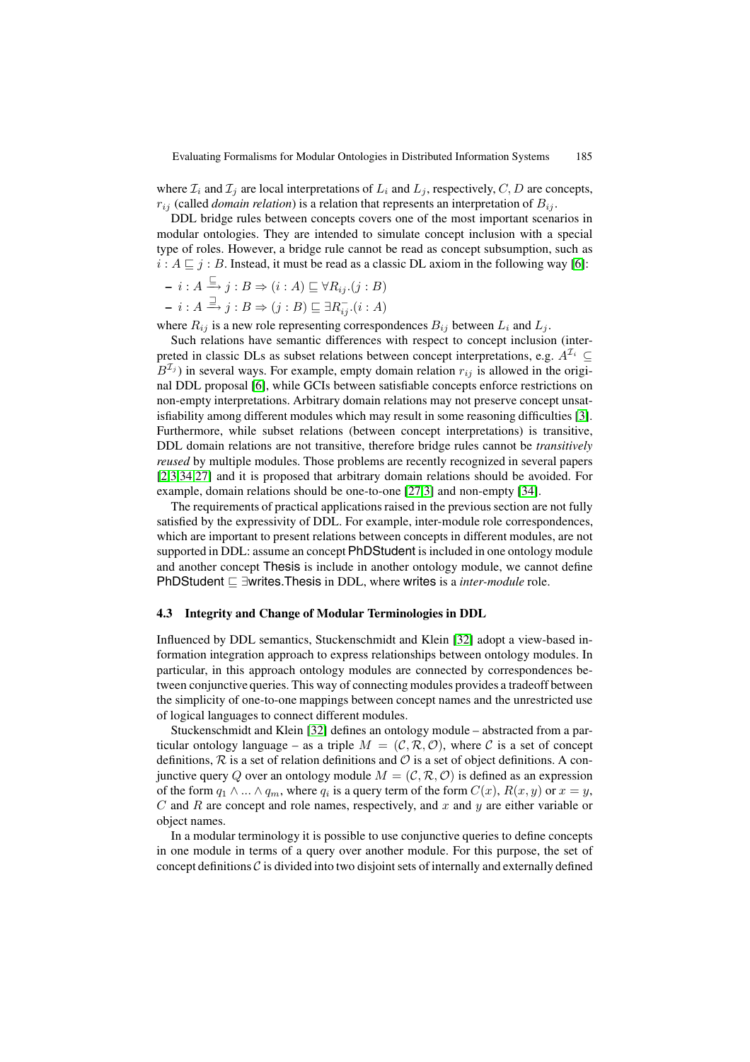where  $\mathcal{I}_i$  and  $\mathcal{I}_j$  are local interpretations of  $L_i$  and  $L_j$ , respectively,  $C, D$  are concepts,  $r_{ij}$  (called *domain relation*) is a relation that represents an interpretation of  $B_{ij}$ .

DDL bridge rules between concepts covers one of the most important scenarios in modular ontologies. They are intended to simulate concept inclusion with a special type of roles. However, a bridge rule cannot be read as concept subsumption, such as  $i : A \sqsubseteq j : B$ . Instead, it must be read as a classic DL axiom in the following way [6]:

$$
- i : A \xrightarrow{\sqsubseteq} j : B \Rightarrow (i : A) \sqsubseteq \forall R_{ij}. (j : B)
$$

$$
- i : A \xrightarrow{\sqsupseteq} j : B \Rightarrow (j : B) \sqsubseteq \exists R_{ij}. (i : A)
$$

where  $R_{ij}$  is a new role representing correspondences  $B_{ij}$  between  $L_i$  and  $L_j$ .

Such relations have semantic differences with respect to concept inclusion (interpreted in classic DLs as subset relations between concept interpretations, e.g.  $A^{L_i} \subseteq$  $B^{\mathcal{I}_j}$ ) in several ways. For example, empty domain relation  $r_{ij}$  is allowed in the original DDL proposal [6], while GCIs between satisfiable concepts enforce restrictions on non-empty interpretations. Arbitrary domain relations may not preserve concept unsatisfiability among different modules which may result in some reasoning difficulties [3]. Furthermore, while subset relations (between concept interpretations) is transitive, DDL domain relati[on](#page-14-3)s are not transitive, therefore bridge rules cannot be *transitively reused* by multiple modules. Those problems are recently recognized in several papers [2,3,34,27] and it is proposed that arbitrary domain relations should be avoided. [Fo](#page-13-2)r example, domain relations should be one-to-one [27,3] and non-empty [34].

The requirements of practical applications raised in the previous section are not fully satisfied by the expressivity of DDL. For example, inter-module role correspondences, [w](#page-13-3)[hi](#page-13-2)[ch a](#page-15-4)[re i](#page-15-5)mportant to present relations between concepts in different modules, are not supported in DDL: assume an concept PhDStude[nt](#page-15-5) i[s i](#page-13-2)ncluded in one on[tolo](#page-15-4)gy module and another concept Thesis is include in another ontology module, we cannot define PhDStudent  $\sqsubseteq \exists$ writes.Thesis in DDL, where writes is a *inter-module* role.

#### **4.3 Integrity and Change of Modular Terminologies in DDL**

Influenced by DDL semantics, Stuckenschmidt and Klein [32] adopt a view-based information integration approach to express relationships between ontology modules. In particular, in this approach ontology modules are connected by correspondences between conjunctive queries. This way of connecting modules provides a tradeoff between the simplicity of one-to-one mappings between concept na[mes](#page-15-6) and the unrestricted use of logical languages to connect different modules.

Stuckenschmidt and Klein [32] defines an ontology module – abstracted from a particular ontology language – as a triple  $M = (\mathcal{C}, \mathcal{R}, \mathcal{O})$ , where C is a set of concept definitions,  $R$  is a set of relation definitions and  $\mathcal O$  is a set of object definitions. A conjunctive query Q over an ontology module  $M = (\mathcal{C}, \mathcal{R}, \mathcal{O})$  is defined as an expression of the form  $q_1 \wedge ... \wedge q_m$ , whe[re](#page-15-6)  $q_i$  is a query term of the form  $C(x)$ ,  $R(x, y)$  or  $x = y$ ,  $C$  and  $R$  are concept and role names, respectively, and  $x$  and  $y$  are either variable or object names.

In a modular terminology it is possible to use conjunctive queries to define concepts in one module in terms of a query over another module. For this purpose, the set of concept definitions  $\mathcal C$  is divided into two disjoint sets of internally and externally defined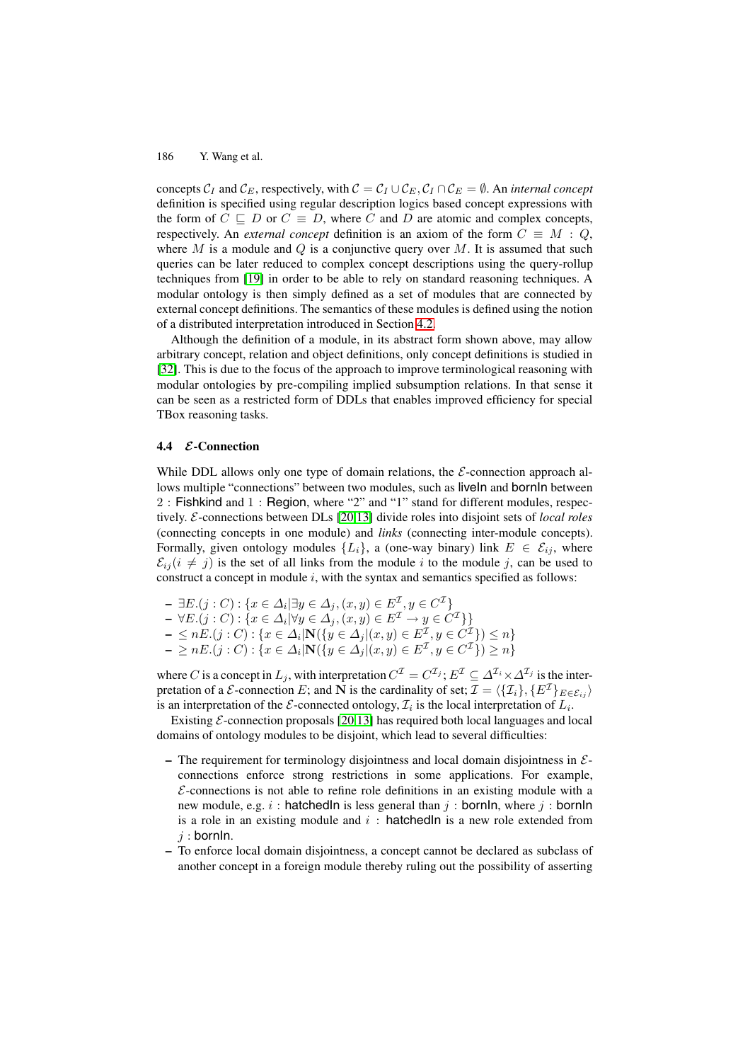concepts  $C_I$  and  $C_E$ , respectively, with  $C = C_I \cup C_E$ ,  $C_I \cap C_E = \emptyset$ . An *internal concept* definition is specified using regular description logics based concept expressions with the form of  $C \subseteq D$  or  $C \equiv D$ , where C and D are atomic and complex concepts, respectively. An *external concept* definition is an axiom of the form  $C \equiv M : Q$ , where  $M$  is a module and  $Q$  is a conjunctive query over  $M$ . It is assumed that such queries can be later reduced to complex concept descriptions using the query-rollup techniques from [19] in order to be able to rely on standard reasoning techniques. A modular ontology is then simply defined as a set of modules that are connected by external concept definitions. The semantics of these modules is defined using the notion of a distributed interpretation introduced in Section 4.2.

Although the [defi](#page-14-6)nition of a module, in its abstract form shown above, may allow arbitrary concept, relation and object definitions, only concept definitions is studied in [32]. This is due to the focus of the approach to improve terminological reasoning with modular ontologies by pre-compiling implied sub[sum](#page-6-1)ption relations. In that sense it can be seen as a restricted form of DDLs that enables improved efficiency for special TBox reasoning tasks.

#### **4.4** *E***-Connection**

While DDL allows only one type of domain relations, the  $\mathcal{E}$ -connection approach allows multiple "connections" between two modules, such as liveIn and bornIn between 2 : Fishkind and 1 : Region, where "2" and "1" stand for different modules, respectively. E-connections between DLs [20,13] divide roles into disjoint sets of *local roles* (connecting concepts in one module) and *links* (connecting inter-module concepts). Formally, given ontology modules  $\{L_i\}$ , a (one-way binary) link  $E \in \mathcal{E}_{ij}$ , where  $\mathcal{E}_{ii}$  ( $i \neq j$ ) is the set of all links from the module i to the module j, can be used to construct a concept in module  $i$ , wit[h th](#page-14-7)[e sy](#page-14-8)ntax and semantics specified as follows:

- $-$  ∃E.(j : C) : { $x \in \Delta_i$  ∃ $y \in \Delta_j$ ,  $(x, y) \in E^{\mathcal{I}}, y \in C^{\mathcal{I}}$ }
- **–** ∀E. $(j : C)$  : { $x \in \Delta_i | \forall y \in \Delta_j$ ,  $(x, y) \in E^{\mathcal{I}} \rightarrow y \in C^{\mathcal{I}}$ }}
- **−** ≤ nE.(j : C) : { $x \in \Delta_i | N({y \in \Delta_j | (x, y) \in E^\mathcal{I}}, y \in C^\mathcal{I}})$ } ≤ n}
- **−**  $\geq nE.(j : C): \{x \in \Delta_i | \mathbf{N}({y \in \Delta_j | (x, y) \in E^\mathcal{I}}, y \in C^\mathcal{I})\} \geq n\}$

where C is a concept in  $L_j$ , with interpretation  $C^{\mathcal{I}} = C^{\mathcal{I}_j}$ ;  $E^{\mathcal{I}} \subseteq \Delta^{\mathcal{I}_i} \times \Delta^{\mathcal{I}_j}$  is the interpretation of a *E*-connection *E*; and **N** is the cardinality of set;  $\mathcal{I} = \langle \{\mathcal{I}_i\}, \{E^{\mathcal{I}}\}_{E \in \mathcal{E}_{ij}}\rangle$ is an interpretation of the *E*-connected ontology,  $\mathcal{I}_i$  is the local interpretation of  $L_i$ .

Existing  $\mathcal E$ -connection proposals [20,13] has required both local languages and local domains of ontology modules to be disjoint, which lead to several difficulties:

- $\overline{\phantom{a}}$  The requirement for terminology disjointness and local domain disjointness in  $\mathcal{E}$ connections enforce strong r[estr](#page-14-7)[icti](#page-14-8)ons in some applications. For example,  $E$ -connections is not able to refine role definitions in an existing module with a new module, e.g. i: hatchedIn is less general than  $j$ : bornIn, where  $j$ : bornIn is a role in an existing module and  $i$ : hatched in is a new role extended from  $i:$  bornin.
- **–** To enforce local domain disjointness, a concept cannot be declared as subclass of another concept in a foreign module thereby ruling out the possibility of asserting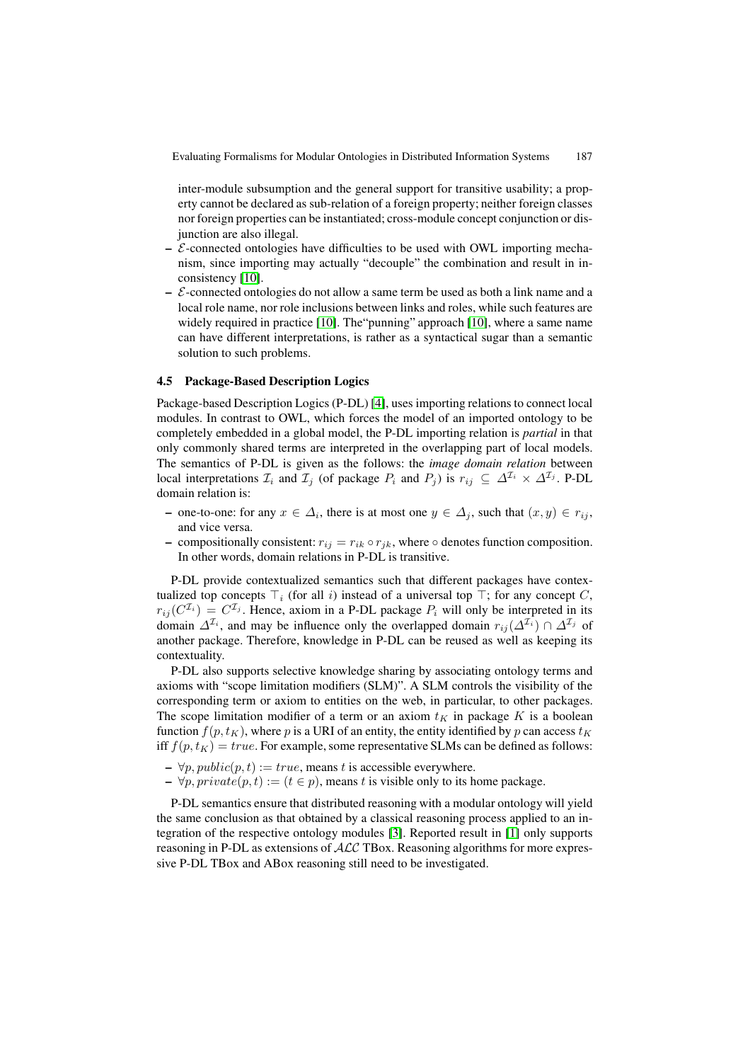inter-module subsumption and the general support for transitive usability; a property cannot be declared as sub-relation of a foreign property; neither foreign classes nor foreign properties can be instantiated; cross-module concept conjunction or disjunction are also illegal.

- $\epsilon$ -connected ontologies have difficulties to be used with OWL importing mechanism, since importing may actually "decouple" the combination and result in inconsistency [10].
- **–** E-connected ontologies do not allow a same term be used as both a link name and a local role name, nor role inclusions between links and roles, while such features are widely required in practice [10]. The "punning" approach [10], where a same name can have dif[fere](#page-14-9)nt interpretations, is rather as a syntactical sugar than a semantic solution to such problems.

#### **4.5 Package-Based Descripti[on](#page-14-9) Logics**

Package-based Description Logics (P-DL) [4], uses importing relations to connect local modules. In contrast to OWL, which forces the model of an imported ontology to be completely embedded in a global model, the P-DL importing relation is *partial* in that only commonly shared terms are interpreted in the overlapping part of local models. The semantics of P-DL is given as the fo[llo](#page-13-4)ws: the *image domain relation* between local interpretations  $\mathcal{I}_i$  and  $\mathcal{I}_j$  (of package  $P_i$  and  $P_j$ ) is  $r_{ij} \subseteq \Delta^{\mathcal{I}_i} \times \Delta^{\mathcal{I}_j}$ . P-DL domain relation is:

- **–** one-to-one: for any  $x \in \Delta_i$ , there is at most one  $y \in \Delta_i$ , such that  $(x, y) \in r_{ij}$ , and vice versa.
- **–** compositionally consistent:  $r_{ij} = r_{ik} \circ r_{jk}$ , where  $\circ$  denotes function composition. In other words, domain relations in P-DL is transitive.

P-DL provide contextualized semantics such that different packages have contextualized top concepts  $\top_i$  (for all i) instead of a universal top  $\top$ ; for any concept C,  $r_{ij}$  $(C^{I_i}) = C^{I_j}$ . Hence, axiom in a P-DL package  $P_i$  will only be interpreted in its domain  $\Delta^{\mathcal{I}_i}$ , and may be influence only the overlapped domain  $r_{ij}(\Delta^{\mathcal{I}_i}) \cap \Delta^{\mathcal{I}_j}$  of another package. Therefore, knowledge in P-DL can be reused as well as keeping its contextuality.

P-DL also supports selective knowledge sharing by associating ontology terms and axioms with "scope limitation modifiers (SLM)". A SLM controls the visibility of the corresponding term or axiom to entities on the web, in particular, to other packages. The scope limitation modifier of a term or an axiom  $t_K$  in package K is a boolean function  $f(p, t_K)$ , where p is a URI of an entity, the entity identified by p can access  $t_K$ iff  $f(p, t_K) = true$ . For example, some representative SLMs can be defined as follows:

- $\rightarrow \forall p, public(p, t) := true$ , means t is accessible everywhere.
- $\forall p, private(p, t) := (t \in p)$ , means t is visible only to its home package.

P-DL semantics ensure that distributed reasoning with a modular ontology will yield the same conclusion as that obtained by a classical reasoning process applied to an integration of the respective ontology modules [3]. Reported result in [1] only supports reasoning in P-DL as extensions of  $\text{ALC}$  TBox. Reasoning algorithms for more expressive P-DL TBox and ABox reasoning still need to be investigated.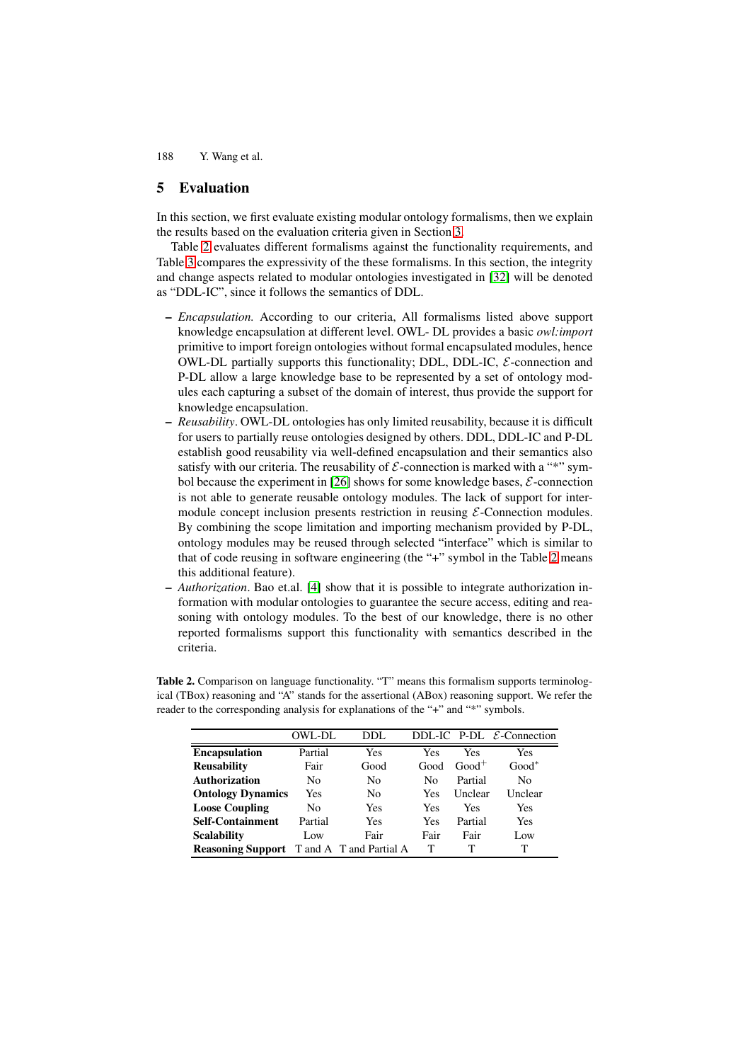# **5 Evaluation**

In this section, we first evaluate existing modular ontology formalisms, then we explain the results based on the evaluation criteria given in Section 3.

Table 2 evaluates different formalisms against the functionality requirements, and Table 3 compares the expressivity of the these formalisms. In this section, the integrity and change aspects related to modular ontologies investigated in [32] will be denoted as "DDL-IC", since it follows the semantics of DDL.

- **–** *E[nc](#page-12-0)[aps](#page-10-0)ulation.* According to our criteria, All formalisms listed above support knowledge encapsulation at different level. OWL- DL provide[s a](#page-15-6) basic *owl:import* primitive to import foreign ontologies without formal encapsulated modules, hence OWL-DL partially supports this functionality; DDL, DDL-IC,  $\mathcal{E}\text{-connection}$  and P-DL allow a large knowledge base to be represented by a set of ontology modules each capturing a subset of the domain of interest, thus provide the support for knowledge encapsulation.
- **–** *Reusability*. OWL-DL ontologies has only limited reusability, because it is difficult for users to partially reuse ontologies designed by others. DDL, DDL-IC and P-DL establish good reusability via well-defined encapsulation and their semantics also satisfy with our criteria. The reusability of  $\mathcal E$ -connection is marked with a "\*" symbol because the experiment in [26] shows for some knowledge bases,  $\mathcal{E}$ -connection is not able to generate reusable ontology modules. The lack of support for intermodule concept inclusion presents restriction in reusing  $\mathcal{E}\text{-}\text{Connection modules.}$ By combining the scope limitation and importing mechanism provided by P-DL, ontology modules may be reu[sed](#page-15-7) through selected "interface" which is similar to that of code reusing in software engineering (the "+" symbol in the Table 2 means this additional feature).
- **–** *Authorization*. Bao et.al. [4] show that it is possible to integrate authorization information with modular ontologies to guarantee the secure access, editing and reasoning with ontology modules. To the best of our knowledge, there is [no](#page-10-0) other reported formalisms support this functionality with semantics described in the criteria.

|                                                  | OWL-DL  | DDL. |      |         | DDL-IC P-DL $\mathcal E$ -Connection |
|--------------------------------------------------|---------|------|------|---------|--------------------------------------|
|                                                  |         |      |      |         |                                      |
| <b>Encapsulation</b>                             | Partial | Yes  | Yes  | Yes     | Yes                                  |
| <b>Reusability</b>                               | Fair    | Good | Good | $Good+$ | $Good*$                              |
| <b>Authorization</b>                             | No      | No   | No   | Partial | No                                   |
| <b>Ontology Dynamics</b>                         | Yes     | No   | Yes  | Unclear | Unclear                              |
| <b>Loose Coupling</b>                            | No      | Yes  | Yes  | Yes     | Yes                                  |
| <b>Self-Containment</b>                          | Partial | Yes  | Yes  | Partial | Yes                                  |
| <b>Scalability</b>                               | Low     | Fair | Fair | Fair    | Low                                  |
| <b>Reasoning Support</b> T and A T and Partial A |         |      | т    |         |                                      |

<span id="page-10-0"></span>**Table 2.** Comparison on language functionality. "T" means this formalism supports terminological (TBox) reasoning and "A" stands for the assertional (ABox) reasoning support. We refer the reader to the corresponding analysis for explanations of the "+" and "\*" symbols.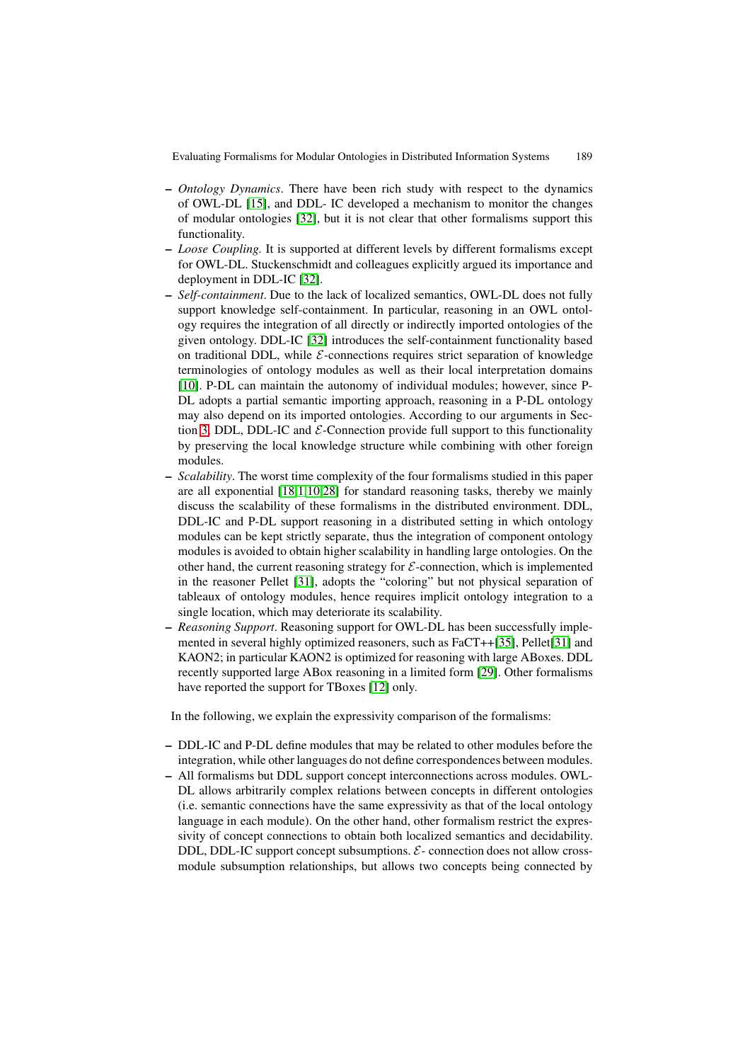Evaluating Formalisms for Modular Ontologies in Distributed Information Systems 189

- **–** *Ontology Dynamics*. There have been rich study with respect to the dynamics of OWL-DL [15], and DDL- IC developed a mechanism to monitor the changes of modular ontologies [32], but it is not clear that other formalisms support this functionality.
- **–** *Loose Coupling.* It is supported at different levels by different formalisms except for OWL-DL. [Stu](#page-14-10)ckenschmidt and colleagues explicitly argued its importance and deployment in DDL-IC [\[32](#page-15-6)].
- **–** *Self-containment*. Due to the lack of localized semantics, OWL-DL does not fully support knowledge self-containment. In particular, reasoning in an OWL ontology requires the integration of all directly or indirectly imported ontologies of the given ontology. DDL-I[C \[3](#page-15-6)2] introduces the self-containment functionality based on traditional DDL, while  $\mathcal E$ -connections requires strict separation of knowledge terminologies of ontology modules as well as their local interpretation domains [10]. P-DL can maintain the autonomy of individual modules; however, since P-DL adopts a partial sema[ntic](#page-15-6) importing approach, reasoning in a P-DL ontology may also depend on its imported ontologies. According to our arguments in Section 3, DDL, DDL-IC and  $\mathcal{E}\text{-}\text{Connection}$  provide full support to this functionality [by p](#page-14-9)reserving the local knowledge structure while combining with other foreign modules.
- **–** *Scalability*. The worst time complexity of the four formalisms studied in this paper are [all](#page-3-0) exponential [18,1,10,28] for standard reasoning tasks, thereby we mainly discuss the scalability of these formalisms in the distributed environment. DDL, DDL-IC and P-DL support reasoning in a distributed setting in which ontology modules can be kept strictly separate, thus the integration of component ontology modules is avoided t[o o](#page-14-11)[bt](#page-13-5)[ain](#page-14-9) [hig](#page-15-1)her scalability in handling large ontologies. On the other hand, the current reasoning strategy for  $\mathcal E$ -connection, which is implemented in the reasoner Pellet [31], adopts the "coloring" but not physical separation of tableaux of ontology modules, hence requires implicit ontology integration to a single location, which may deteriorate its scalability.
- **–** *Reasoning Support*. Reasoning support for OWL-DL has been successfully implemented in several highl[y op](#page-15-2)timized reasoners, such as FaCT++[35], Pellet[31] and KAON2; in particular KAON2 is optimized for reasoning with large ABoxes. DDL recently supported large ABox reasoning in a limited form [29]. Other formalisms have reported the support for TBoxes [12] only.

In the following, we explain the expressivity comparison of the f[orm](#page-15-8)alisms:

- **–** DDL-IC and P-DL define modules tha[t m](#page-14-12)ay be related to ot[her](#page-15-9) modules before the integration, while other languages do not define correspondences between modules.
- **–** All formalisms but DDL support concept interconnections across modules. OWL-DL allows arbitrarily complex relations between concepts in different ontologies (i.e. semantic connections have the same expressivity as that of the local ontology language in each module). On the other hand, other formalism restrict the expressivity of concept connections to obtain both localized semantics and decidability. DDL, DDL-IC support concept subsumptions.  $\mathcal{E}$ - connection does not allow crossmodule subsumption relationships, but allows two concepts being connected by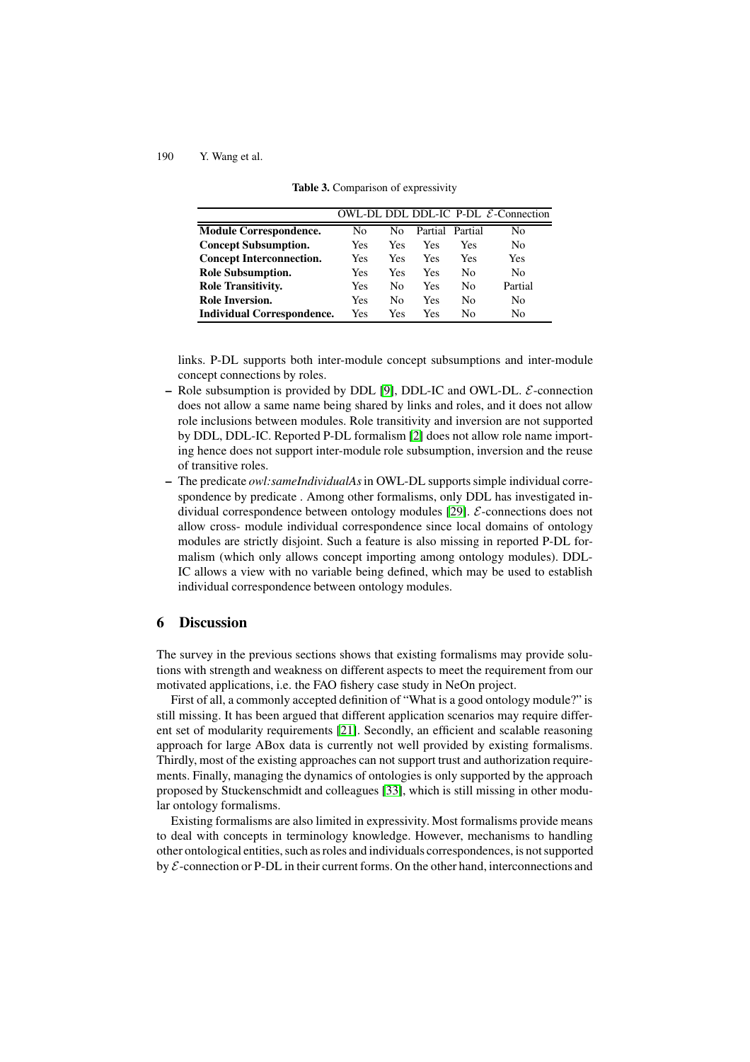<span id="page-12-0"></span>

|                                   |     |     |                 |     | OWL-DL DDL DDL-IC P-DL $\mathcal E$ -Connection |
|-----------------------------------|-----|-----|-----------------|-----|-------------------------------------------------|
| <b>Module Correspondence.</b>     | No  | No. | Partial Partial |     | No                                              |
| <b>Concept Subsumption.</b>       | Yes | Yes | Yes             | Yes | No                                              |
| <b>Concept Interconnection.</b>   | Yes | Yes | Yes             | Yes | Yes                                             |
| Role Subsumption.                 | Yes | Yes | Yes             | No  | N <sub>0</sub>                                  |
| <b>Role Transitivity.</b>         | Yes | No  | Yes             | No  | Partial                                         |
| Role Inversion.                   | Yes | Nο  | Yes             | No  | No                                              |
| <b>Individual Correspondence.</b> | Yes | Yes | Yes             | Nο  | No                                              |

**Table 3.** Comparison of expressivity

links. P-DL supports both inter-module concept subsumptions and inter-module concept connections by roles.

- **–** Role subsumption is provided by DDL [9], DDL-IC and OWL-DL. E-connection does not allow a same name being shared by links and roles, and it does not allow role inclusions between modules. Role transitivity and inversion are not supported by DDL, DDL-IC. Reported P-DL formalism [2] does not allow role name importing hence does not support inter-module [ro](#page-14-13)le subsumption, inversion and the reuse of transitive roles.
- **–** The predicate *owl:sameIndividualAs*in OWL-DL supports simple individual correspondence by predicate . Among other formal[ism](#page-13-3)s, only DDL has investigated individual correspondence between ontology modules  $[29]$ .  $\mathcal{E}$ -connections does not allow cross- module individual correspondence since local domains of ontology modules are strictly disjoint. Such a feature is also missing in reported P-DL formalism (which only allows concept importing among ontology modules). DDL-IC allows a view with no variable being defined, wh[ich](#page-15-9) may be used to establish individual correspondence between ontology modules.

# **6 Discussion**

The survey in the previous sections shows that existing formalisms may provide solutions with strength and weakness on different aspects to meet the requirement from our motivated applications, i.e. the FAO fishery case study in NeOn project.

First of all, a commonly accepted definition of "What is a good ontology module?" is still missing. It has been argued that different application scenarios may require different set of modularity requirements [21]. Secondly, an efficient and scalable reasoning approach for large ABox data is currently not well provided by existing formalisms. Thirdly, most of the existing approaches can not support trust and authorization requirements. Finally, managing the dynamics of ontologies is only supported by the approach proposed by Stuckenschmidt and co[llea](#page-14-14)gues [33], which is still missing in other modular ontology formalisms.

Existing formalisms are also limited in expressivity. Most formalisms provide means to deal with concepts in terminology knowledge. However, mechanisms to handling other ontological entities, such as roles and in[divid](#page-15-10)uals correspondences, is not supported by  $\mathcal E$ -connection or P-DL in their current forms. On the other hand, interconnections and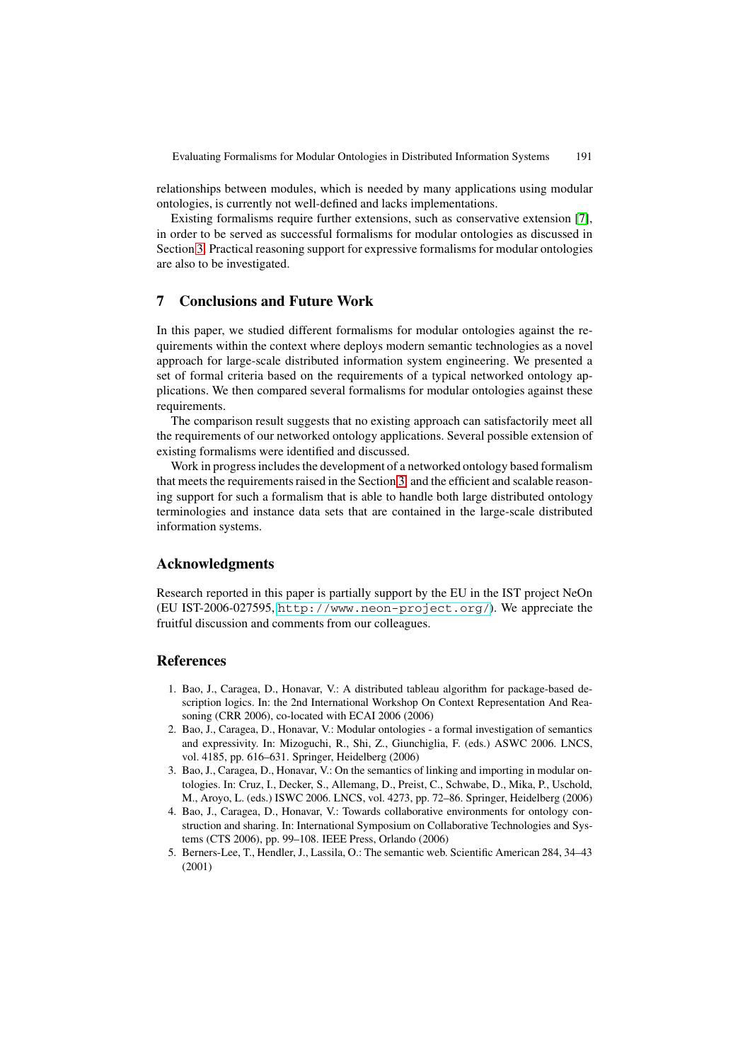relationships between modules, which is needed by many applications using modular ontologies, is currently not well-defined and lacks implementations.

Existing formalisms require further extensions, such as conservative extension [7], in order to be served as successful formalisms for modular ontologies as discussed in Section 3. Practical reasoning support for expressive formalisms for modular ontologies are also to be investigated.

# **7 C[on](#page-3-0)clusions and Future Work**

<span id="page-13-1"></span>In this paper, we studied different formalisms for modular ontologies against the requirements within the context where deploys modern semantic technologies as a novel approach for large-scale distributed information system engineering. We presented a set of formal criteria based on the requirements of a typical networked ontology applications. We then compared several formalisms for modular ontologies against these requirements.

The comparison result suggests that no existing approach can satisfactorily meet all the requirements of our networked ontology applications. Several possible extension of existing formalisms were identified and discussed.

Work in progress includes the development of a networked ontology based formalism that meets the requirements raised in the Section 3, and the efficient and scalable reasoning support for such a formalism that is able to handle both large distributed ontology terminologies and instance data sets that are contained in the large-scale distributed information systems.

## **Acknowledgments**

Research reported in this paper is partially support by the EU in the IST project NeOn (EU IST-2006-027595, http://www.neon-project.org/). We appreciate the fruitful discussion and comments from our colleagues.

### **References**

- 1. Bao, J., Caragea, D., Honavar, V.: A distributed tableau algorithm for package-based description logics. In: the 2nd International Workshop On Context Representation And Reasoning (CRR 2006), co-located with ECAI 2006 (2006)
- <span id="page-13-5"></span>2. Bao, J., Caragea, D., Honavar, V.: Modular ontologies - a formal investigation of semantics and expressivity. In: Mizoguchi, R., Shi, Z., Giunchiglia, F. (eds.) ASWC 2006. LNCS, vol. 4185, pp. 616–631. Springer, Heidelberg (2006)
- <span id="page-13-3"></span>3. Bao, J., Caragea, D., Honavar, V.: On the semantics of linking and importing in modular ontologies. In: Cruz, I., Decker, S., Allemang, D., Preist, C., Schwabe, D., Mika, P., Uschold, M., Aroyo, L. (eds.) ISWC 2006. LNCS, vol. 4273, pp. 72–86. Springer, Heidelberg (2006)
- <span id="page-13-2"></span>4. Bao, J., Caragea, D., Honavar, V.: Towards collaborative environments for ontology construction and sharing. In: International Symposium on Collaborative Technologies and Systems (CTS 2006), pp. 99–108. IEEE Press, Orlando (2006)
- <span id="page-13-4"></span><span id="page-13-0"></span>5. Berners-Lee, T., Hendler, J., Lassila, O.: The semantic web. Scientific American 284, 34–43 (2001)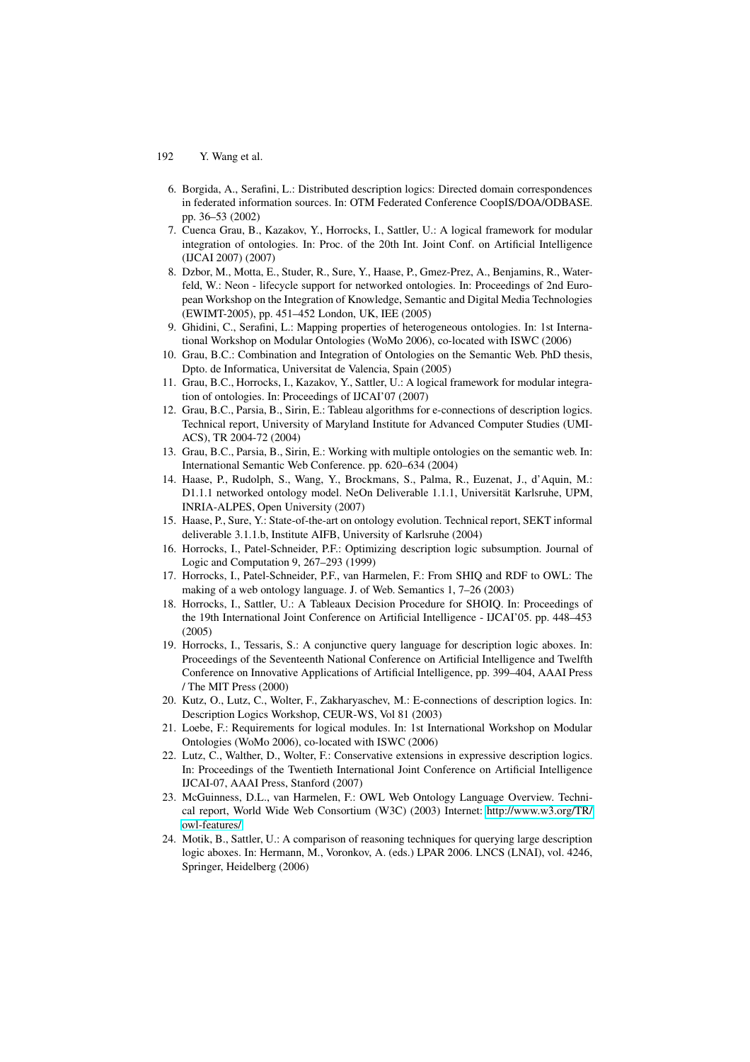- <span id="page-14-3"></span>192 Y. Wang et al.
	- 6. Borgida, A., Serafini, L.: Distributed description logics: Directed domain correspondences in federated information sources. In: OTM Federated Conference CoopIS/DOA/ODBASE. pp. 36–53 (2002)
	- 7. Cuenca Grau, B., Kazakov, Y., Horrocks, I., Sattler, U.: A logical framework for modular integration of ontologies. In: Proc. of the 20th Int. Joint Conf. on Artificial Intelligence (IJCAI 2007) (2007)
	- 8. Dzbor, M., Motta, E., Studer, R., Sure, Y., Haase, P., Gmez-Prez, A., Benjamins, R., Waterfeld, W.: Neon - lifecycle support for networked ontologies. In: Proceedings of 2nd European Workshop on the Integration of Knowledge, Semantic and Digital Media Technologies (EWIMT-2005), pp. 451–452 London, UK, IEE (2005)
	- 9. Ghidini, C., Serafini, L.: Mapping properties of heterogeneous ontologies. In: 1st International Workshop on Modular Ontologies (WoMo 2006), co-located with ISWC (2006)
- <span id="page-14-0"></span>10. Grau, B.C.: Combination and Integration of Ontologies on the Semantic Web. PhD thesis, Dpto. de Informatica, Universitat de Valencia, Spain (2005)
- <span id="page-14-13"></span>11. Grau, B.C., Horrocks, I., Kazakov, Y., Sattler, U.: A logical framework for modular integration of ontologies. In: Proceedings of IJCAI'07 (2007)
- <span id="page-14-9"></span>12. Grau, B.C., Parsia, B., Sirin, E.: Tableau algorithms for e-connections of description logics. Technical report, University of Maryland Institute for Advanced Computer Studies (UMI-ACS), TR 2004-72 (2004)
- <span id="page-14-12"></span>13. Grau, B.C., Parsia, B., Sirin, E.: Working with multiple ontologies on the semantic web. In: International Semantic Web Conference. pp. 620–634 (2004)
- 14. Haase, P., Rudolph, S., Wang, Y., Brockmans, S., Palma, R., Euzenat, J., d'Aquin, M.: D1.1.1 networked ontology model. NeOn Deliverable 1.1.1, Universität Karlsruhe, UPM, INRIA-ALPES, Open University (2007)
- <span id="page-14-8"></span><span id="page-14-1"></span>15. Haase, P., Sure, Y.: State-of-the-art on ontology evolution. Technical report, SEKT informal deliverable 3.1.1.b, Institute AIFB, University of Karlsruhe (2004)
- 16. Horrocks, I., Patel-Schneider, P.F.: Optimizing description logic subsumption. Journal of Logic and Computation 9, 267–293 (1999)
- <span id="page-14-10"></span>17. Horrocks, I., Patel-Schneider, P.F., van Harmelen, F.: From SHIQ and RDF to OWL: The making of a web ontology language. J. of Web. Semantics 1, 7–26 (2003)
- <span id="page-14-5"></span>18. Horrocks, I., Sattler, U.: A Tableaux Decision Procedure for SHOIQ. In: Proceedings of the 19th International Joint Conference on Artificial Intelligence - IJCAI'05. pp. 448–453 (2005)
- <span id="page-14-11"></span>19. Horrocks, I., Tessaris, S.: A conjunctive query language for description logic aboxes. In: Proceedings of the Seventeenth National Conference on Artificial Intelligence and Twelfth Conference on Innovative Applications of Artificial Intelligence, pp. 399–404, AAAI Press / The MIT Press (2000)
- <span id="page-14-6"></span>20. Kutz, O., Lutz, C., Wolter, F., Zakharyaschev, M.: E-connections of description logics. In: Description Logics Workshop, CEUR-WS, Vol 81 (2003)
- 21. Loebe, F.: Requirements for logical modules. In: 1st International Workshop on Modular Ontologies (WoMo 2006), co-located with ISWC (2006)
- <span id="page-14-7"></span>22. Lutz, C., Walther, D., Wolter, F.: Conservative extensions in expressive description logics. In: Proceedings of the Twentieth International Joint Conference on Artificial Intelligence IJCAI-07, AAAI Press, Stanford (2007)
- <span id="page-14-14"></span>23. McGuinness, D.L., van Harmelen, F.: OWL Web Ontology Language Overview. Technical report, World Wide Web Consortium (W3C) (2003) Internet: http://www.w3.org/TR/ owl-features/
- <span id="page-14-4"></span><span id="page-14-2"></span>24. Motik, B., Sattler, U.: A comparison of reasoning techniques for querying large description logic aboxes. In: Hermann, M., Voronkov, A. (eds.) LPAR 2006. LNCS (LNAI), vol. 4246, Springer, Heidelberg (2006)